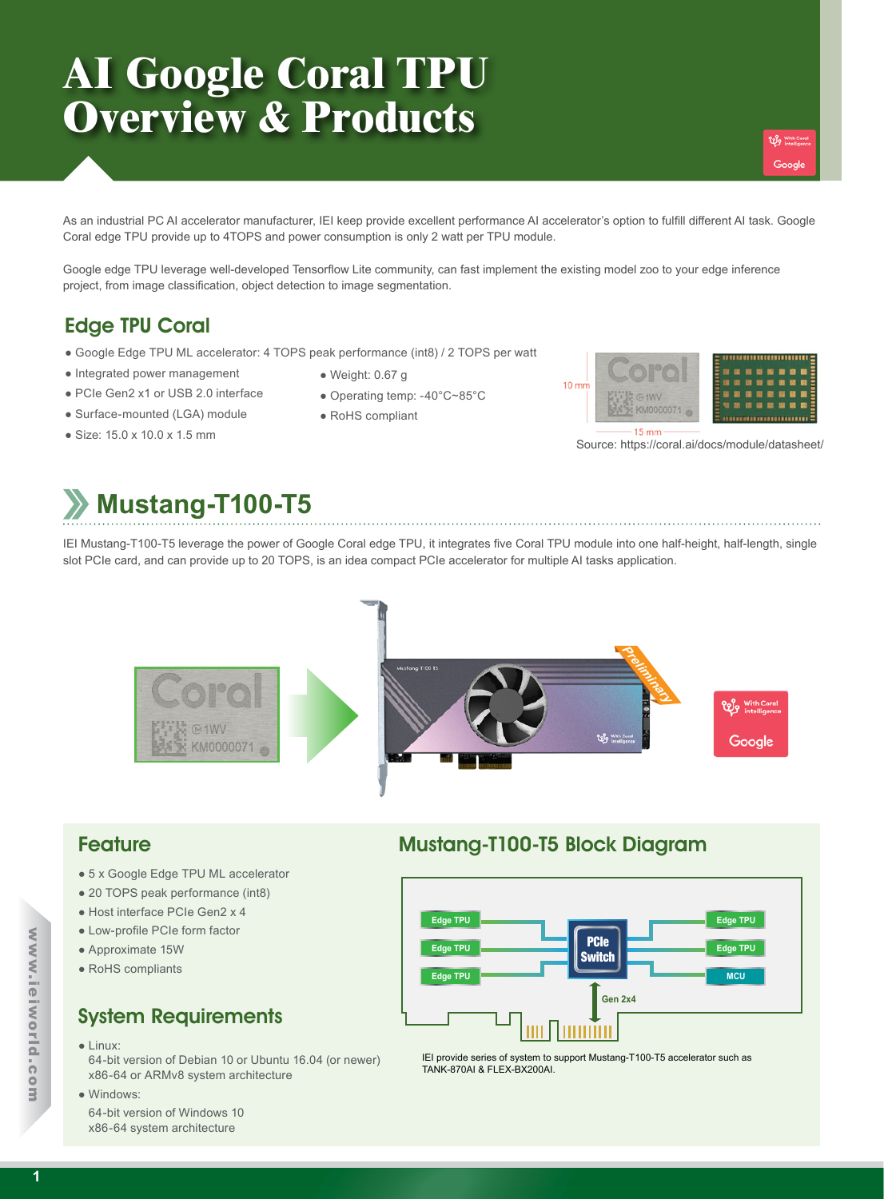# **AI Google Coral TPU Overview & Products**

As an industrial PC AI accelerator manufacturer, IEI keep provide excellent performance AI accelerator's option to fulfill different AI task. Google Coral edge TPU provide up to 4TOPS and power consumption is only 2 watt per TPU module.

Google edge TPU leverage well-developed Tensorflow Lite community, can fast implement the existing model zoo to your edge inference project, from image classification, object detection to image segmentation.

### Edge TPU Coral

- Google Edge TPU ML accelerator: 4 TOPS peak performance (int8) / 2 TOPS per watt
- Integrated power management
- PCIe Gen2 x1 or USB 2.0 interface
- Surface-mounted (LGA) module
- Size: 15.0 x 10.0 x 1.5 mm
- Weight: 0.67 g
- Operating temp: -40°C~85°C
- RoHS compliant



**We With !** 

Source: https://coral.ai/docs/module/datasheet/

## **Mustang-T100-T5**

IEI Mustang-T100-T5 leverage the power of Google Coral edge TPU, it integrates five Coral TPU module into one half-height, half-length, single slot PCIe card, and can provide up to 20 TOPS, is an idea compact PCIe accelerator for multiple AI tasks application.



- 5 x Google Edge TPU ML accelerator
- 20 TOPS peak performance (int8)
- Host interface PCIe Gen2 x 4
- Low-profile PCIe form factor
- Approximate 15W
- RoHS compliants

### System Requirements

● Linux:

64-bit version of Debian 10 or Ubuntu 16.04 (or newer) x86-64 or ARMv8 system architecture

● Windows:

64-bit version of Windows 10 x86-64 system architecture

### Feature Mustang-T100-T5 Block Diagram



IEI provide series of system to support Mustang-T100-T5 accelerator such as TANK-870AI & FLEX-BX200AI.

www.ieiworld.com

www.ieiworld.com